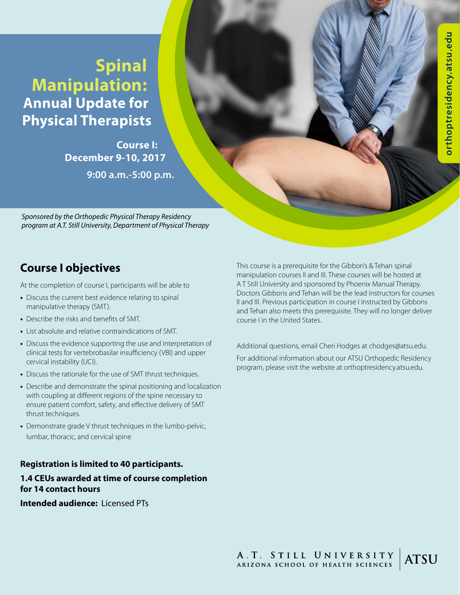# **Spinal Manipulation: Annual Update for Physical Therapists**

**Course I: December 9-10, 2017 9:00 a.m.-5:00 p.m.** 

*Sponsored by the Orthopedic Physical Therapy Residency program at A.T. Still University, Department of Physical Therapy*

## **Course I objectives**

At the completion of course I, participants will be able to

- **•** Discuss the current best evidence relating to spinal manipulative therapy (SMT).
- **•** Describe the risks and benefits of SMT.
- **•** List absolute and relative contraindications of SMT.
- **•** Discuss the evidence supporting the use and interpretation of clinical tests for vertebrobasilar insufficiency (VBI) and upper cervical instability (UCI).
- **•** Discuss the rationale for the use of SMT thrust techniques.
- **•** Describe and demonstrate the spinal positioning and localization with coupling at different regions of the spine necessary to ensure patient comfort, safety, and effective delivery of SMT thrust techniques.
- **•** Demonstrate grade V thrust techniques in the lumbo-pelvic, lumbar, thoracic, and cervical spine

#### **Registration is limited to 40 participants.**

#### **1.4 CEUs awarded at time of course completion for 14 contact hours**

**Intended audience:** Licensed PTs

This course is a prerequisite for the Gibbon's & Tehan spinal manipulation courses II and III. These courses will be hosted at A T Still University and sponsored by Phoenix Manual Therapy. Doctors Gibbons and Tehan will be the lead instructors for courses II and III. Previous participation in course I instructed by Gibbons and Tehan also meets this prerequisite. They will no longer deliver course I in the United States.

Additional questions, email Cheri Hodges at chodges@atsu.edu.

For additional information about our ATSU Orthopedic Residency program, please visit the website at orthoptresidency.atsu.edu.

A.T. STILL UNIVERSITY<br>ARIZONA SCHOOL OF HEALTH SCIENCES **ATSU**